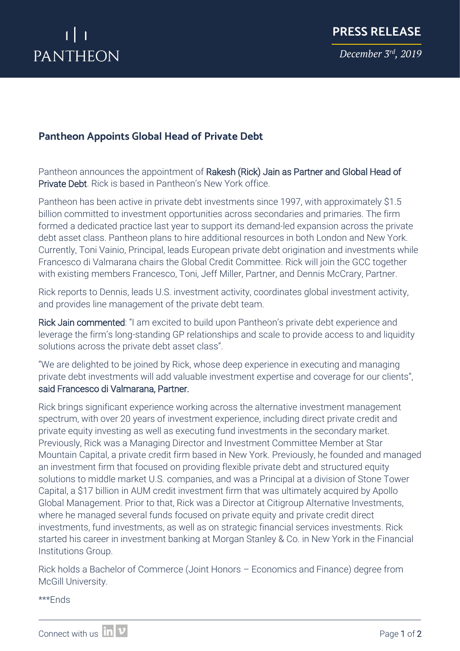### **Pantheon Appoints Global Head of Private Debt**

Pantheon announces the appointment of Rakesh (Rick) Jain as Partner and Global Head of Private Debt. Rick is based in Pantheon's New York office.

Pantheon has been active in private debt investments since 1997, with approximately \$1.5 billion committed to investment opportunities across secondaries and primaries. The firm formed a dedicated practice last year to support its demand-led expansion across the private debt asset class. Pantheon plans to hire additional resources in both London and New York. Currently, Toni Vainio, Principal, leads European private debt origination and investments while Francesco di Valmarana chairs the Global Credit Committee. Rick will join the GCC together with existing members Francesco, Toni, Jeff Miller, Partner, and Dennis McCrary, Partner.

Rick reports to Dennis, leads U.S. investment activity, coordinates global investment activity, and provides line management of the private debt team.

Rick Jain commented: "I am excited to build upon Pantheon's private debt experience and leverage the firm's long-standing GP relationships and scale to provide access to and liquidity solutions across the private debt asset class".

"We are delighted to be joined by Rick, whose deep experience in executing and managing private debt investments will add valuable investment expertise and coverage for our clients", said Francesco di Valmarana, Partner.

Rick brings significant experience working across the alternative investment management spectrum, with over 20 years of investment experience, including direct private credit and private equity investing as well as executing fund investments in the secondary market. Previously, Rick was a Managing Director and Investment Committee Member at Star Mountain Capital, a private credit firm based in New York. Previously, he founded and managed an investment firm that focused on providing flexible private debt and structured equity solutions to middle market U.S. companies, and was a Principal at a division of Stone Tower Capital, a \$17 billion in AUM credit investment firm that was ultimately acquired by Apollo Global Management. Prior to that, Rick was a Director at Citigroup Alternative Investments, where he managed several funds focused on private equity and private credit direct investments, fund investments, as well as on strategic financial services investments. Rick started his career in investment banking at Morgan Stanley & Co. in New York in the Financial Institutions Group.

Rick holds a Bachelor of Commerce (Joint Honors – Economics and Finance) degree from McGill University.

\*\*\*Ends